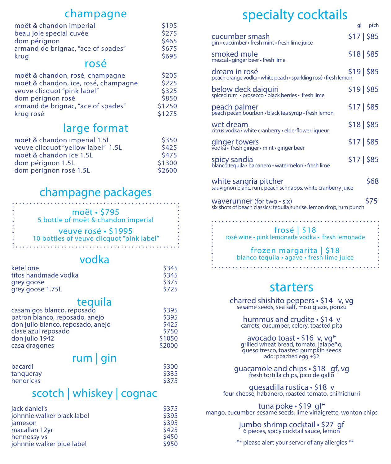#### champagne

| moët & chandon imperial            | \$195 |
|------------------------------------|-------|
| beau joie special cuvée            | \$275 |
| dom pérignon                       | \$465 |
| armand de brignac, "ace of spades" | \$675 |
| krug                               | \$695 |
| rosé                               |       |
|                                    |       |

| moët & chandon, rosé, champagne      | \$205  |
|--------------------------------------|--------|
| moët & chandon, ice, rosé, champagne | \$225  |
| veuve clicquot "pink label"          | \$325  |
| dom pérignon rosé                    | \$850  |
| armand de brignac, "ace of spades"   | \$1250 |
| krug rosé                            | \$1275 |

### large format

| moët & chandon imperial 1.5L       | \$350  |
|------------------------------------|--------|
| veuve clicquot "yellow label" 1.5L | \$425  |
| moët & chandon ice 1.5L            | \$475  |
| dom pérignon 1.5L                  | \$1300 |
| dom pérignon rosé 1.5L             | \$2600 |

## champagne packages

moët • \$795 5 bottle of moët & chandon imperial

veuve rosé • \$1995 10 bottles of veuve clicquot "pink label"

#### vodka

| ketel one            | \$345 |
|----------------------|-------|
| titos handmade vodka | \$345 |
| grey goose           | \$375 |
| grey goose 1.75L     | \$725 |
|                      |       |

#### tequila

| casamigos blanco, reposado        | S395   |
|-----------------------------------|--------|
| patron blanco, reposado, anejo    | \$395  |
| don julio blanco, reposado, anejo | \$425  |
| clase azul reposado               | \$750  |
| don julio 1942                    | \$1050 |
| casa dragones                     | \$2000 |
|                                   |        |

#### $rum | gin$

| bacardi   | <b>S300</b> |
|-----------|-------------|
| tangueray | \$335       |
| hendricks | \$375       |

### scotch | whiskey | cognac

| jack daniel's              | \$375 |
|----------------------------|-------|
| johnnie walker black label | \$395 |
| jameson                    | \$395 |
| macallan 12yr              | \$425 |
| hennessy vs                | \$450 |
| johnnie walker blue label  | \$950 |

# specialty cocktails

|                                                                                                   | gl          | ptch |
|---------------------------------------------------------------------------------------------------|-------------|------|
| cucumber smash<br>gin · cucumber · fresh mint · fresh lime juice                                  | \$17 \$85   |      |
| smoked mule<br>mezcal • ginger beer • fresh lime                                                  | $$18 $ \$85 |      |
| dream in rosé<br>peach orange vodka · white peach · sparkling rosé · fresh lemon                  | $$19 $ \$85 |      |
| below deck daiquiri<br>spiced rum · prosecco · black berries · fresh lime                         | \$19 \$85   |      |
| peach palmer<br>peach pecan bourbon · black tea syrup · fresh lemon                               | \$17 \$85   |      |
| wet dream<br>citrus vodka · white cranberry · elderflower liqueur                                 | $$18 $ \$85 |      |
| ginger towers<br>vodka · fresh ginger · mint · ginger beer                                        | $$17 $ \$85 |      |
| spicy sandia<br>blanco tequila · habanero · watermelon · fresh lime                               | $$17 $ \$85 |      |
| white sangria pitcher<br>sauvignon blanc, rum, peach schnapps, white cranberry juice              |             | \$68 |
| waverunner (for two - six)<br>six shots of beach classics: tequila sunrise, lemon drop, rum punch |             | \$75 |
|                                                                                                   |             |      |

frosé | \$18 rosé wine • pink lemonade vodka • fresh lemonade

# frozen margarita | \$18 blanco tequila • agave • fresh lime juice

# starters

charred shishito peppers • \$14 v, vg sesame seeds, sea salt, miso glaze, ponzu

hummus and crudite • \$14 v carrots, cucumber, celery, toasted pita

avocado toast • \$16 v, vg\* grilled wheat bread, tomato, jalapeño, queso fresco, toasted pumpkin seeds add: poached egg +\$2

guacamole and chips • \$18 gf, vg<br>fresh tortilla chips, pico de gallo

quesadilla rustica • \$18 v four cheese, habanero, roasted tomato, chimichurri

tuna poke • \$19 gf\*<br>mango, cucumber, sesame seeds, lime vinaigrette, wonton chips

jumbo shrimp cocktail • \$27 gf 6 pieces, spicy cocktail sauce, lemon

\*\* please alert your server of any allergies \*\*